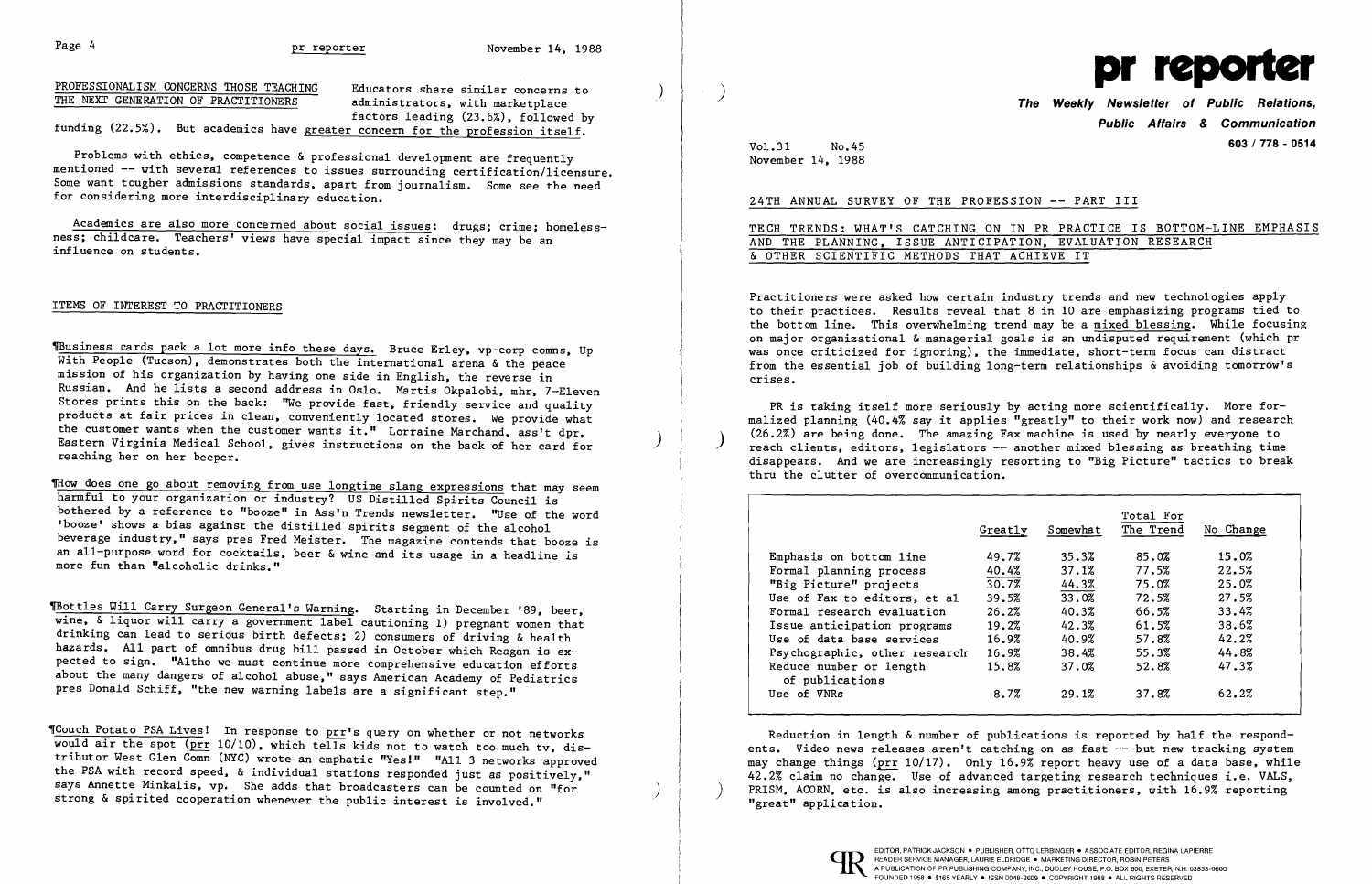PROFESSIONALISM CONCERNS THOSE TEACHING Educators share similar concerns to  $\overline{\text{THE NEXT GENERATION OF PRACTITIONERS}}$  administrators, with marketplace factors leading (23.6%), followed by

funding (22.5%). But academics have greater concern for the profession itself.

Academics are also more concerned about social issues: drugs; crime; homelessness; chi1dcare. Teachers' views have special impact since they may be an influence on students.

Problems with ethics, competence & professional development are frequently mentioned -- with several references to issues surrounding certification/licensure. Some want tougher admissions standards, apart from journalism. Some see the need for considering more interdisciplinary education.

ITEMS OF INTEREST TO PRACTITIONERS

Thow does one go about removing from use longtime slang expressions that may seem harmful to your organization or industry? US Distilled Spirits Council is bothered by a reference to "booze" in Ass'n Trends newsletter. "Use of the word 'booze' shows a bias against the distilled spirits segment of the alcohol beverage industry," says pres Fred Meister. The magazine contends that booze is an all-purpose word for cocktails, beer & wine and its usage in a headline is more fun than "alcoholic drinks."

TBottles Will Carry Surgeon General's Warning. Starting in December '89, beer, wine, & liquor will carry a government label cautioning 1) pregnant women that drinking can lead to serious birth defects; 2) consumers of driving & health hazards. All part of omnibus drug bill passed in October which Reagan is expected to sign. "Altho we must continue more comprehensive education efforts about the many dangers of alcohol abuse," says American Academy of Pediatrics pres Donald Schiff, "the new warning labels are a significant step."

~usiness cards pack a lot more info these days. Bruce Er1ey, vp-corp comns, Up With People (Tucson), demonstrates both the international arena & the peace mission of his organization by having one side in English, the reverse in Russian. And he lists a second address in Oslo. Martis Okpa10bi, mhr, 7-E1even Stores prints this on the back: "We provide fast, friendly service and quality products at fair prices in clean, conveniently located stores. We provide what the customer wants when the customer wants it." Lorraine Marchand, ass't dpr, Eastern Virginia Medical School, gives instructions on the back of her card for ) reaching her on her beeper.

'Couch Potato PSA Lives! In response to prr's query on whether or not networks would air the spot (prr 10/10), which tells kids not to watch too much tv, distributor West Glen Comn (NYC) wrote an emphatic "Yes!" "All 3 networks approved the PSA with record speed, & individual stations responded just as positively,"<br>says Annette Minkalis, vp. She adds that broadcasters can be counted on "for strong & spirited cooperation whenever the public interest is involved."



**Public Affairs & Communication**  Vo1.31 No.45 **603 / 778 - 0514**

November 14, 1988

24TH ANNUAL SURVEY OF THE PROFESSION -- PART III

TECH TRENDS: WHAT'S CATCHING ON IN PR PRACTICE IS BOTTOM-LINE EMPHASIS AND THE PLANNING, ISSUE ANTICIPATION, EVALUATION RESEARCH & OTHER SCIENTIFIC METHODS THAT ACHIEVE IT

Practitioners were asked how certain industry trends and new technologies apply to their practices. Results reveal that 8 in 10 are emphasizing programs tied to the bottom line. This overwhelming trend may be a mixed blessing. While focusing on major organizational & managerial goals is an undisputed requirement (which pr was once criticized for ignoring), the immediate, short-term focus can distract from the essential iob of building long-term relationships & avoiding tomorrow's crises.

PR is taking itself more seriously by acting more scientifically. More formalized planning (40.4% say it applies "greatly" to their work now) and research<br>(26.2%) are being done. The amazing Fax machine is used by nearly everyone to reach clients, editors, legislators -- another mixed blessing as breathing time disappears. And we are increasingly resorting to "Big Picture" tactics to break thru the clutter of overcommunication.

|                                            | Total For |          |           |           |
|--------------------------------------------|-----------|----------|-----------|-----------|
|                                            | Greatly   | Somewhat | The Trend | No Change |
| Emphasis on bottom line                    | 49.7%     | 35.3%    | 85.0%     | 15.0%     |
| Formal planning process                    | 40.4%     | 37.1%    | 77.5%     | 22.5%     |
| "Big Picture" projects                     | 30.7%     | 44.3%    | 75.0%     | 25.0%     |
| Use of Fax to editors, et al               | 39.5%     | 33.0%    | 72.5%     | 27.5%     |
| Formal research evaluation                 | 26.2%     | 40.3%    | 66.5%     | 33.4%     |
| Issue anticipation programs                | 19.2%     | 42.3%    | 61.5%     | 38.6%     |
| Use of data base services                  | 16.9%     | 40.9%    | 57.8%     | 42.2%     |
| Psychographic, other research              | 16.9%     | 38.4%    | 55.3%     | 44.8%     |
| Reduce number or length<br>of publications | 15.8%     | 37.0%    | 52.8%     | 47.3%     |
| Use of VNRs                                | 8.7%      | 29.1%    | 37.8%     | 62.2%     |

Reduction in length & number of publications is reported by half the respondents. Video news releases aren't catching on as fast -- but new tracking system may change things (prr  $10/17$ ). Only 16.9% report heavy use of a data base, while 42.2% claim no change. Use of advanced targeting research techniques i.e. VALS. PRISM, ACORN, etc. is also increasing among practitioners, with 16.9% reporting "great" application.